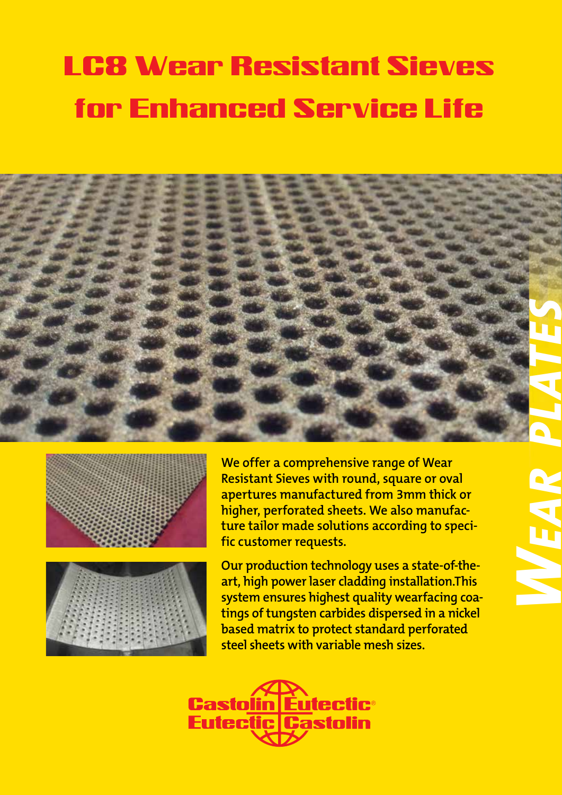# **<sup>W</sup><sup>o</sup>rld'<sup>s</sup> <sup>F</sup>irs<sup>t</sup>** LC8 Wear Resistant Sieves for Enhanced Service Life







**We offer a comprehensive range of Wear Resistant Sieves with round, square or oval apertures manufactured from 3mm thick or higher, perforated sheets. We also manufacture tailor made solutions according to specific customer requests.**

**Our production technology uses a state-of-theart, high power laser cladding installation.This system ensures highest quality wearfacing coatings of tungsten carbides dispersed in a nickel based matrix to protect standard perforated steel sheets with variable mesh sizes.**